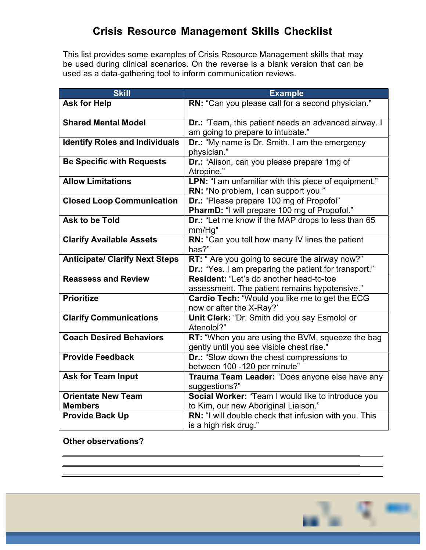## Crisis Resource Management Skills Checklist

This list provides some examples of Crisis Resource Management skills that may be used during clinical scenarios. On the reverse is a blank version that can be used as a data-gathering tool to inform communication reviews.

| <b>Skill</b>                          | <b>Example</b>                                        |  |
|---------------------------------------|-------------------------------------------------------|--|
| <b>Ask for Help</b>                   | RN: "Can you please call for a second physician."     |  |
|                                       |                                                       |  |
| <b>Shared Mental Model</b>            | Dr.: "Team, this patient needs an advanced airway. I  |  |
|                                       | am going to prepare to intubate."                     |  |
| <b>Identify Roles and Individuals</b> | Dr.: "My name is Dr. Smith. I am the emergency        |  |
|                                       | physician."                                           |  |
| <b>Be Specific with Requests</b>      | Dr.: "Alison, can you please prepare 1mg of           |  |
|                                       | Atropine."                                            |  |
| <b>Allow Limitations</b>              | LPN: "I am unfamiliar with this piece of equipment."  |  |
|                                       | RN: "No problem, I can support you."                  |  |
| <b>Closed Loop Communication</b>      | Dr.: "Please prepare 100 mg of Propofol"              |  |
|                                       | PharmD: "I will prepare 100 mg of Propofol."          |  |
| Ask to be Told                        | Dr.: "Let me know if the MAP drops to less than 65    |  |
|                                       | mm/Hg"                                                |  |
| <b>Clarify Available Assets</b>       | RN: "Can you tell how many IV lines the patient       |  |
|                                       | has?"                                                 |  |
| <b>Anticipate/ Clarify Next Steps</b> | RT: "Are you going to secure the airway now?"         |  |
|                                       | Dr.: "Yes. I am preparing the patient for transport." |  |
| <b>Reassess and Review</b>            | Resident: "Let's do another head-to-toe               |  |
|                                       | assessment. The patient remains hypotensive."         |  |
| <b>Prioritize</b>                     | Cardio Tech: "Would you like me to get the ECG        |  |
|                                       | now or after the X-Ray?'                              |  |
| <b>Clarify Communications</b>         | Unit Clerk: "Dr. Smith did you say Esmolol or         |  |
|                                       | Atenolol?"                                            |  |
| <b>Coach Desired Behaviors</b>        | RT: "When you are using the BVM, squeeze the bag      |  |
|                                       | gently until you see visible chest rise."             |  |
| <b>Provide Feedback</b>               | Dr.: "Slow down the chest compressions to             |  |
|                                       | between 100 -120 per minute"                          |  |
| <b>Ask for Team Input</b>             | Trauma Team Leader: "Does anyone else have any        |  |
|                                       | suggestions?"                                         |  |
| <b>Orientate New Team</b>             | Social Worker: "Team I would like to introduce you    |  |
| <b>Members</b>                        | to Kim, our new Aboriginal Liaison."                  |  |
| <b>Provide Back Up</b>                | RN: "I will double check that infusion with you. This |  |
|                                       | is a high risk drug."                                 |  |

Other observations?

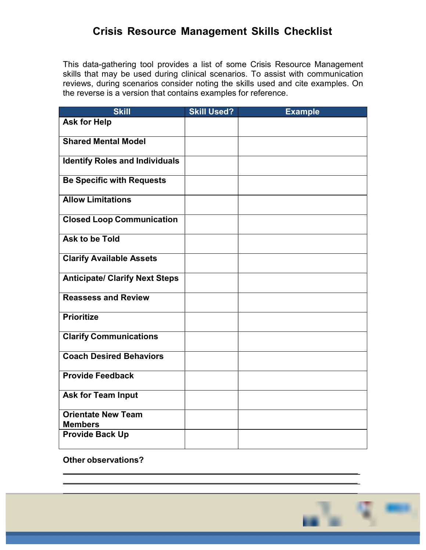## Crisis Resource Management Skills Checklist

This data-gathering tool provides a list of some Crisis Resource Management skills that may be used during clinical scenarios. To assist with communication reviews, during scenarios consider noting the skills used and cite examples. On the reverse is a version that contains examples for reference.

| <b>Skill</b>                                | <b>Skill Used?</b> | <b>Example</b> |
|---------------------------------------------|--------------------|----------------|
| <b>Ask for Help</b>                         |                    |                |
| <b>Shared Mental Model</b>                  |                    |                |
| <b>Identify Roles and Individuals</b>       |                    |                |
| <b>Be Specific with Requests</b>            |                    |                |
| <b>Allow Limitations</b>                    |                    |                |
| <b>Closed Loop Communication</b>            |                    |                |
| <b>Ask to be Told</b>                       |                    |                |
| <b>Clarify Available Assets</b>             |                    |                |
| <b>Anticipate/ Clarify Next Steps</b>       |                    |                |
| <b>Reassess and Review</b>                  |                    |                |
| <b>Prioritize</b>                           |                    |                |
| <b>Clarify Communications</b>               |                    |                |
| <b>Coach Desired Behaviors</b>              |                    |                |
| <b>Provide Feedback</b>                     |                    |                |
| <b>Ask for Team Input</b>                   |                    |                |
| <b>Orientate New Team</b><br><b>Members</b> |                    |                |
| <b>Provide Back Up</b>                      |                    |                |

Other observations?